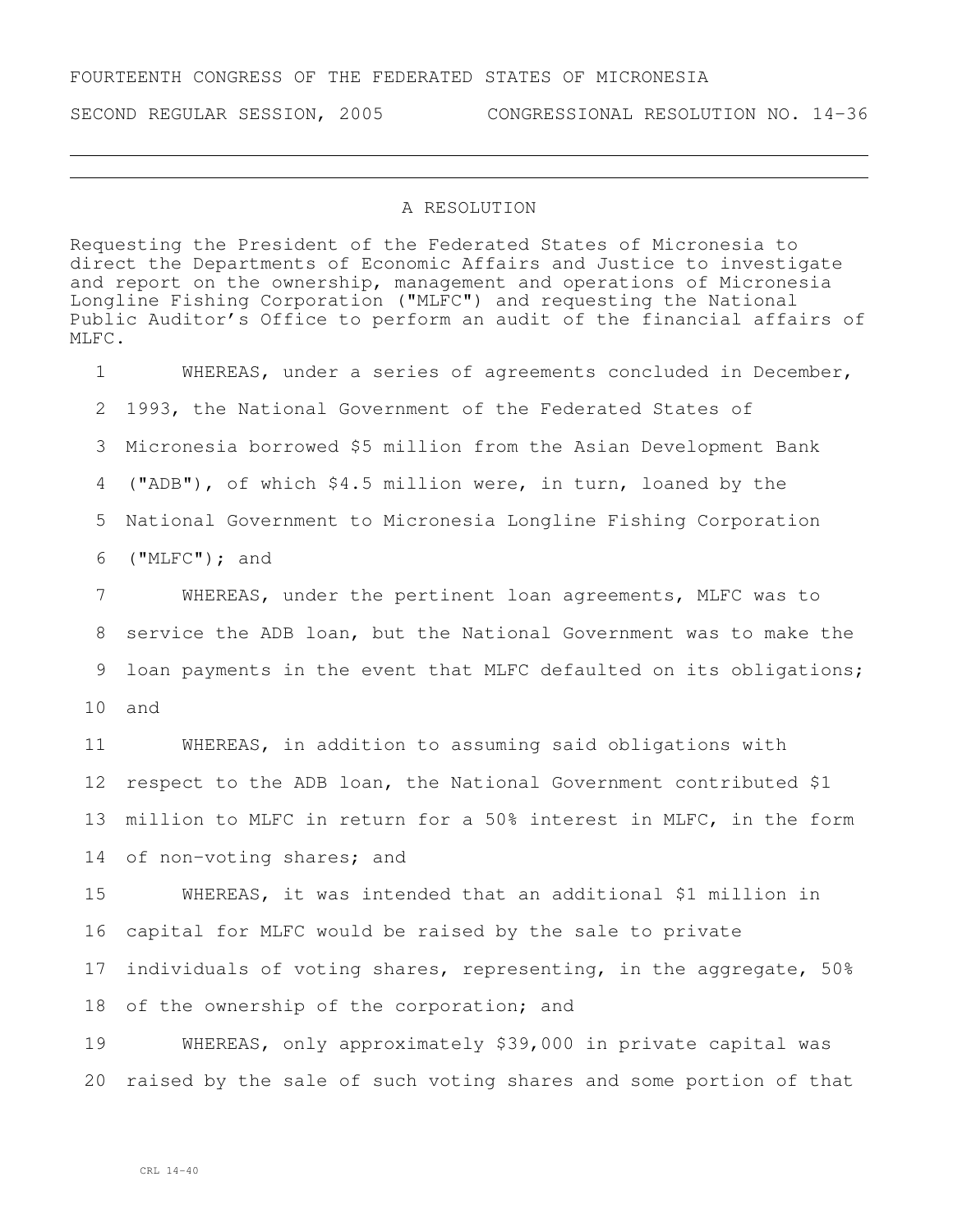## FOURTEENTH CONGRESS OF THE FEDERATED STATES OF MICRONESIA

SECOND REGULAR SESSION, 2005 CONGRESSIONAL RESOLUTION NO. 14-36

## A RESOLUTION

Requesting the President of the Federated States of Micronesia to direct the Departments of Economic Affairs and Justice to investigate and report on the ownership, management and operations of Micronesia Longline Fishing Corporation ("MLFC") and requesting the National Public Auditor's Office to perform an audit of the financial affairs of MLFC.

 WHEREAS, under a series of agreements concluded in December, 1993, the National Government of the Federated States of Micronesia borrowed \$5 million from the Asian Development Bank ("ADB"), of which \$4.5 million were, in turn, loaned by the National Government to Micronesia Longline Fishing Corporation ("MLFC"); and WHEREAS, under the pertinent loan agreements, MLFC was to service the ADB loan, but the National Government was to make the loan payments in the event that MLFC defaulted on its obligations; and WHEREAS, in addition to assuming said obligations with

 respect to the ADB loan, the National Government contributed \$1 million to MLFC in return for a 50% interest in MLFC, in the form of non-voting shares; and

 WHEREAS, it was intended that an additional \$1 million in capital for MLFC would be raised by the sale to private individuals of voting shares, representing, in the aggregate, 50% 18 of the ownership of the corporation; and

 WHEREAS, only approximately \$39,000 in private capital was raised by the sale of such voting shares and some portion of that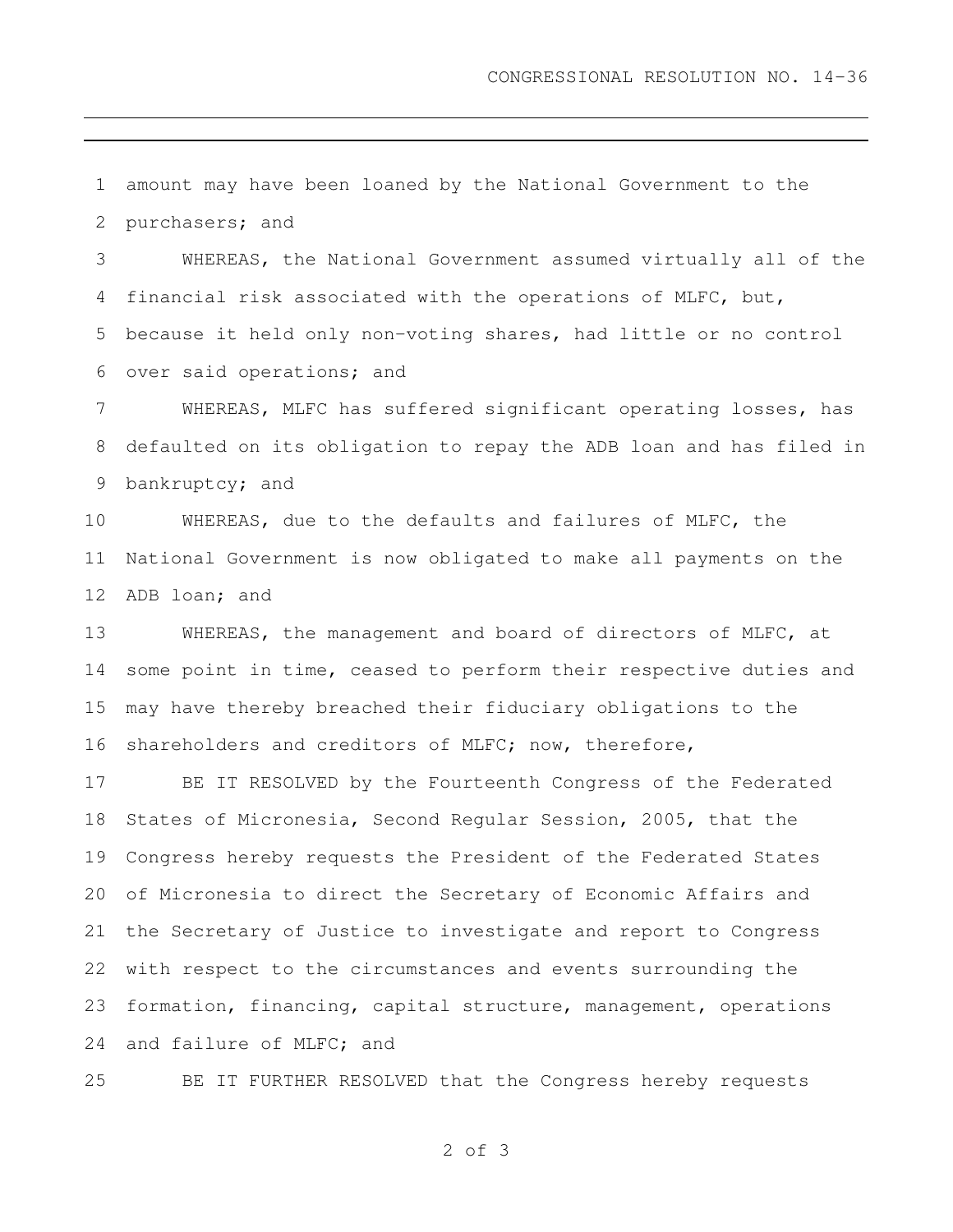amount may have been loaned by the National Government to the purchasers; and

 WHEREAS, the National Government assumed virtually all of the financial risk associated with the operations of MLFC, but, because it held only non-voting shares, had little or no control over said operations; and

 WHEREAS, MLFC has suffered significant operating losses, has defaulted on its obligation to repay the ADB loan and has filed in bankruptcy; and

 WHEREAS, due to the defaults and failures of MLFC, the National Government is now obligated to make all payments on the ADB loan; and

 WHEREAS, the management and board of directors of MLFC, at some point in time, ceased to perform their respective duties and may have thereby breached their fiduciary obligations to the shareholders and creditors of MLFC; now, therefore,

 BE IT RESOLVED by the Fourteenth Congress of the Federated States of Micronesia, Second Regular Session, 2005, that the Congress hereby requests the President of the Federated States of Micronesia to direct the Secretary of Economic Affairs and the Secretary of Justice to investigate and report to Congress with respect to the circumstances and events surrounding the formation, financing, capital structure, management, operations and failure of MLFC; and

BE IT FURTHER RESOLVED that the Congress hereby requests

of 3